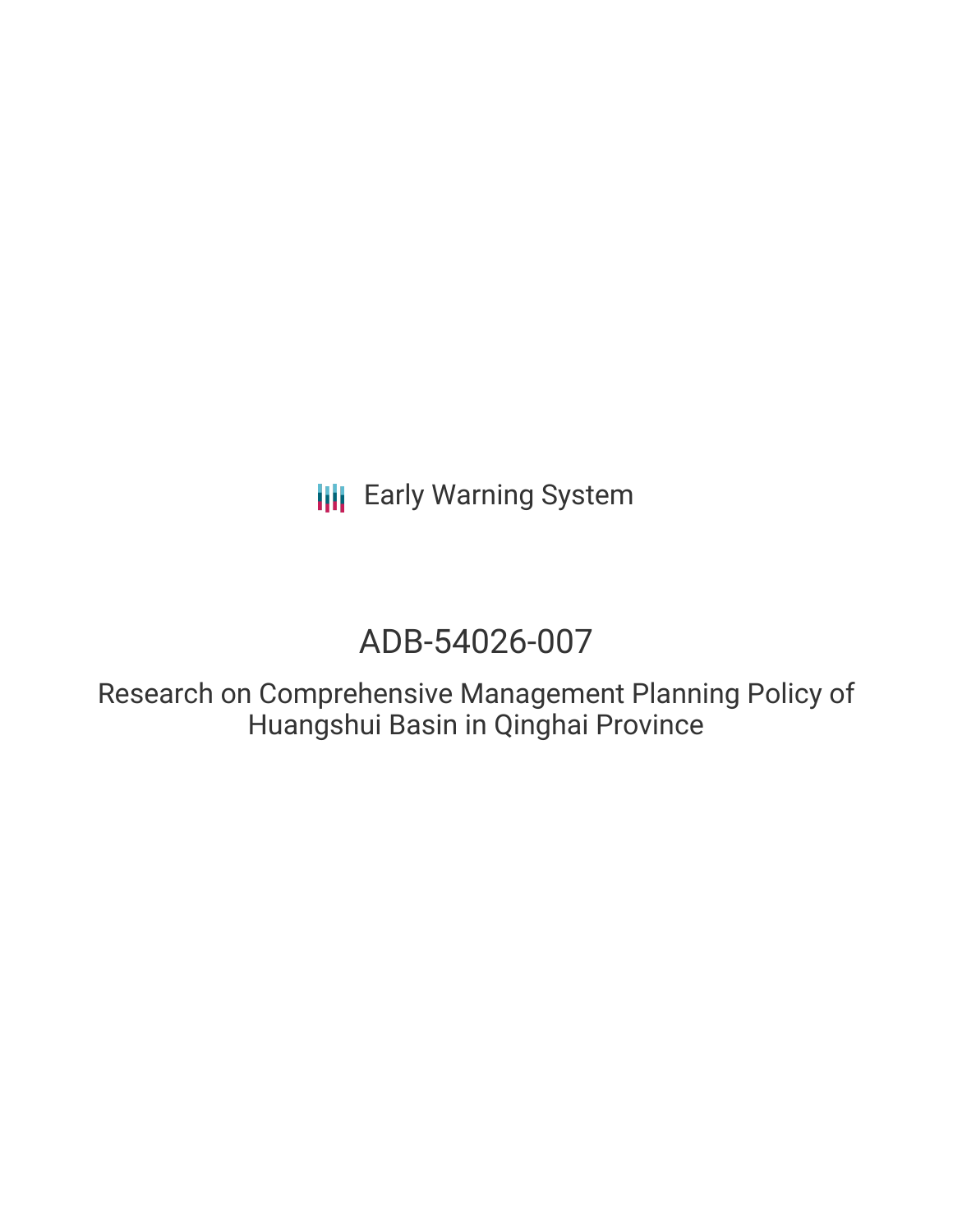# ADB-54026-007

Research on Comprehensive Management Planning Policy of Huangshui Basin in Qinghai Province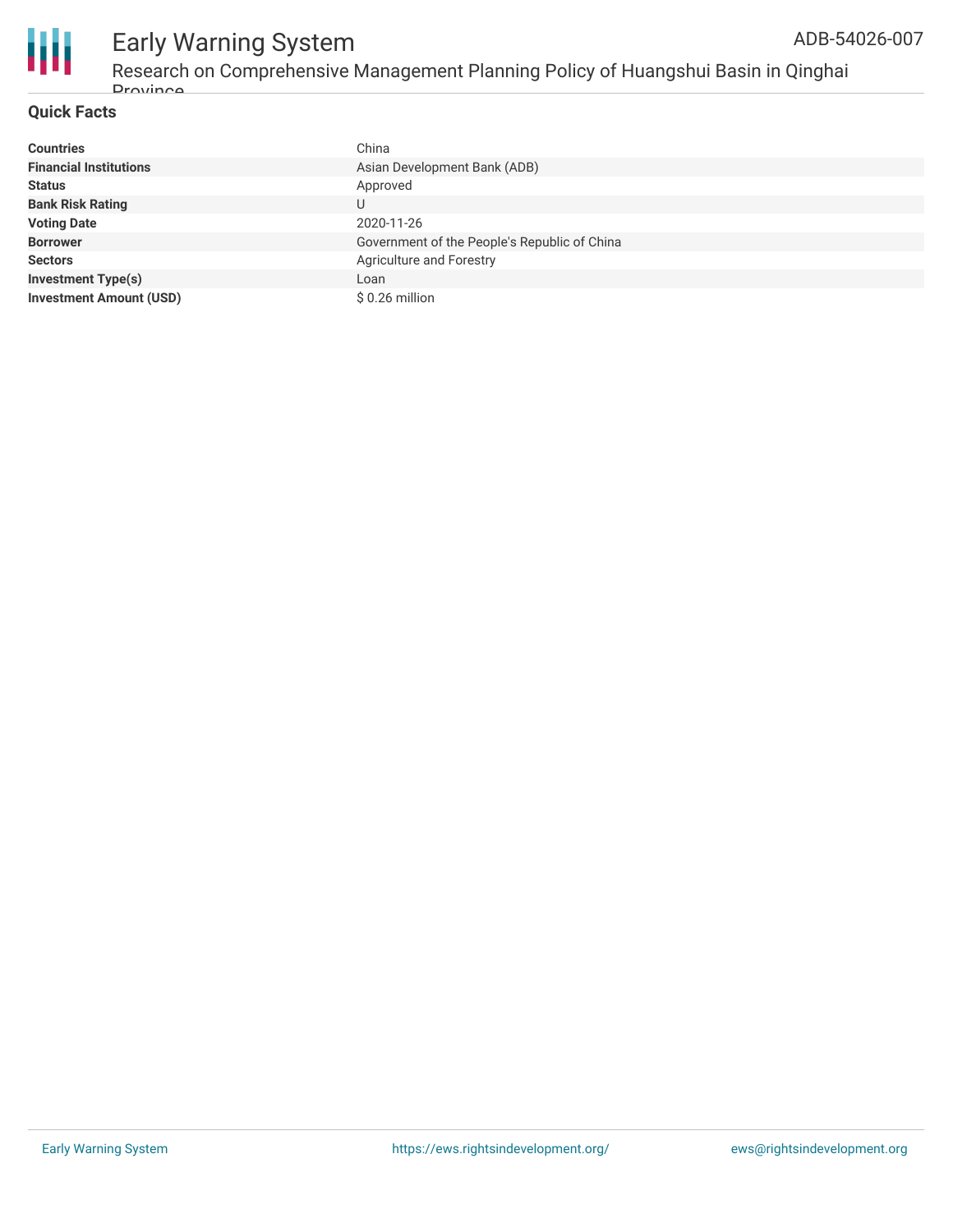

**Drovince** 

| <b>Countries</b>               | China                                        |
|--------------------------------|----------------------------------------------|
| <b>Financial Institutions</b>  | Asian Development Bank (ADB)                 |
| <b>Status</b>                  | Approved                                     |
| <b>Bank Risk Rating</b>        | U                                            |
| <b>Voting Date</b>             | 2020-11-26                                   |
| <b>Borrower</b>                | Government of the People's Republic of China |
| <b>Sectors</b>                 | Agriculture and Forestry                     |
| <b>Investment Type(s)</b>      | Loan                                         |
| <b>Investment Amount (USD)</b> | $$0.26$ million                              |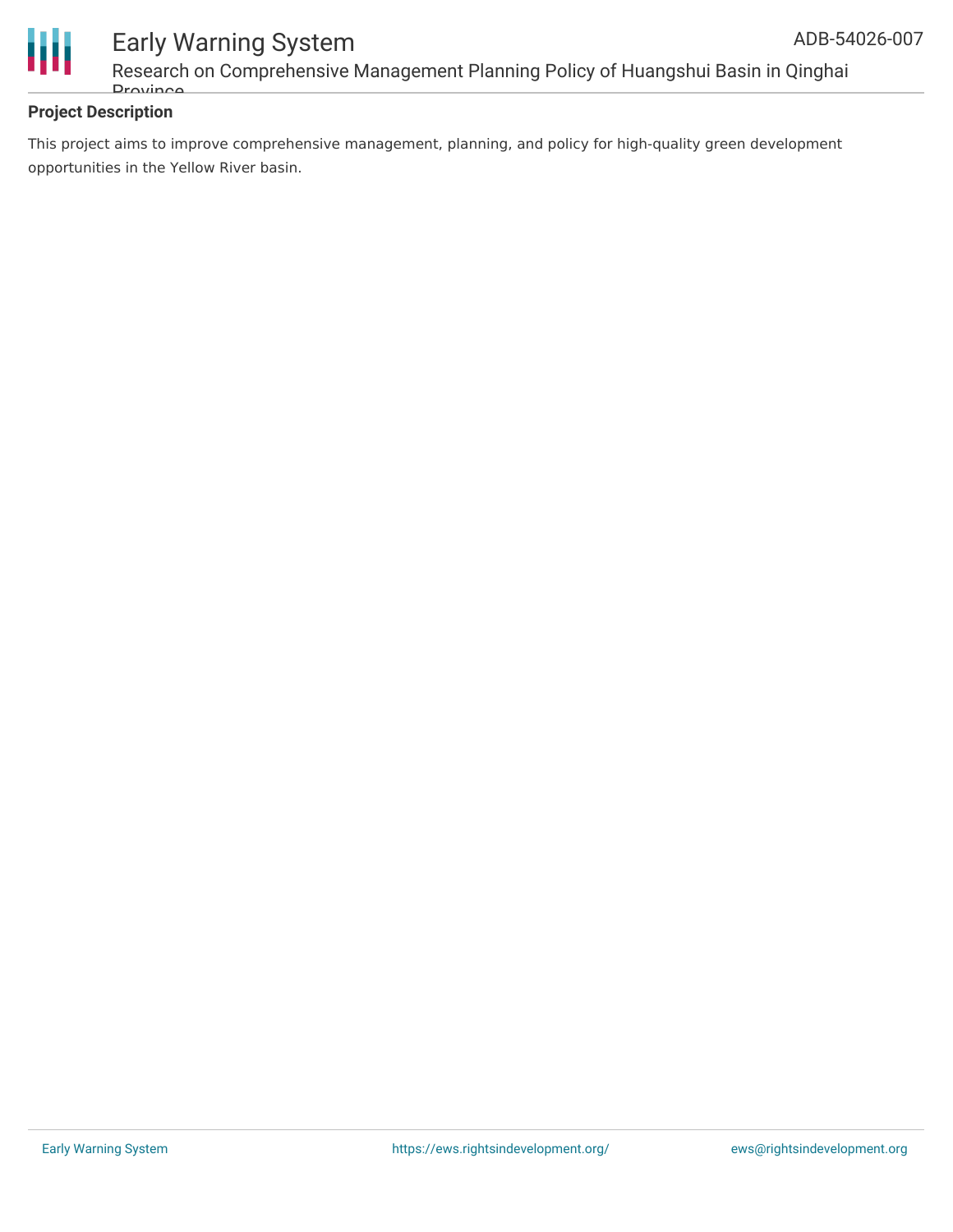



### Early Warning System Research on Comprehensive Management Planning Policy of Huangshui Basin in Qinghai **Drovince**

#### **Project Description**

This project aims to improve comprehensive management, planning, and policy for high-quality green development opportunities in the Yellow River basin.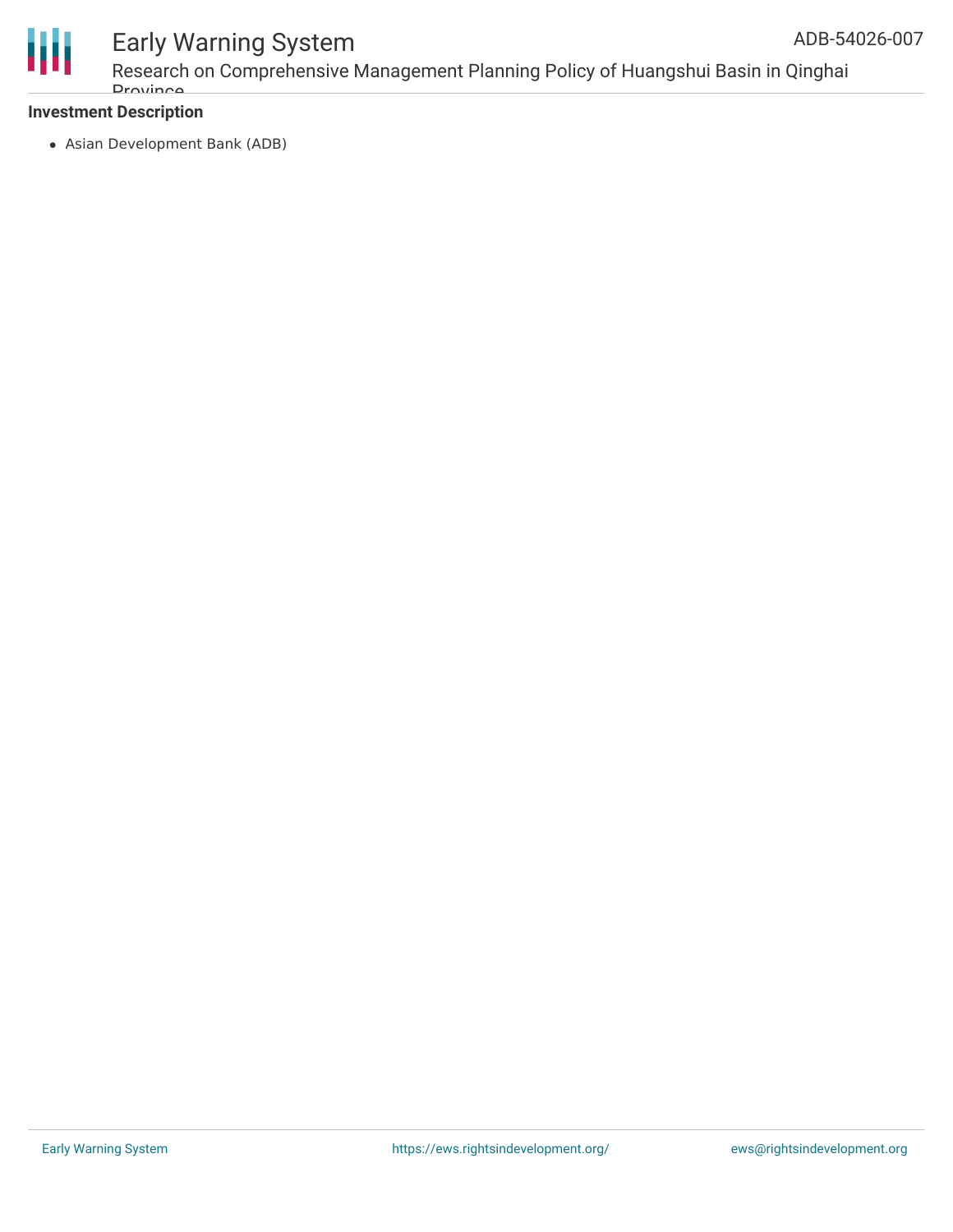

Research on Comprehensive Management Planning Policy of Huangshui Basin in Qinghai **Drovince** 

#### **Investment Description**

Asian Development Bank (ADB)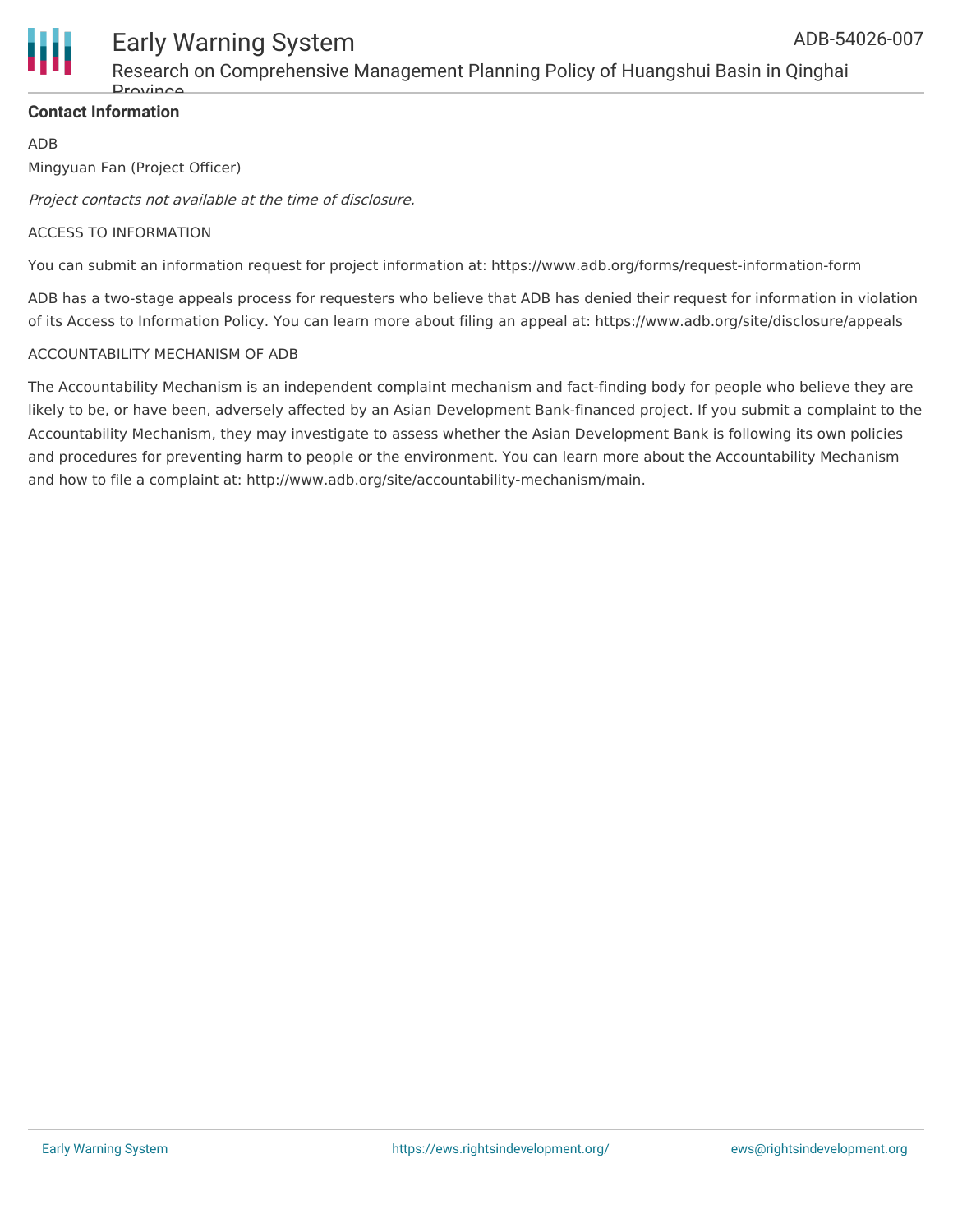

### Research on Comprehensive Management Planning Policy of Huangshui Basin in Qinghai **Drovince**

#### **Contact Information**

ADB

Mingyuan Fan (Project Officer)

Project contacts not available at the time of disclosure.

#### ACCESS TO INFORMATION

You can submit an information request for project information at: https://www.adb.org/forms/request-information-form

ADB has a two-stage appeals process for requesters who believe that ADB has denied their request for information in violation of its Access to Information Policy. You can learn more about filing an appeal at: https://www.adb.org/site/disclosure/appeals

#### ACCOUNTABILITY MECHANISM OF ADB

The Accountability Mechanism is an independent complaint mechanism and fact-finding body for people who believe they are likely to be, or have been, adversely affected by an Asian Development Bank-financed project. If you submit a complaint to the Accountability Mechanism, they may investigate to assess whether the Asian Development Bank is following its own policies and procedures for preventing harm to people or the environment. You can learn more about the Accountability Mechanism and how to file a complaint at: http://www.adb.org/site/accountability-mechanism/main.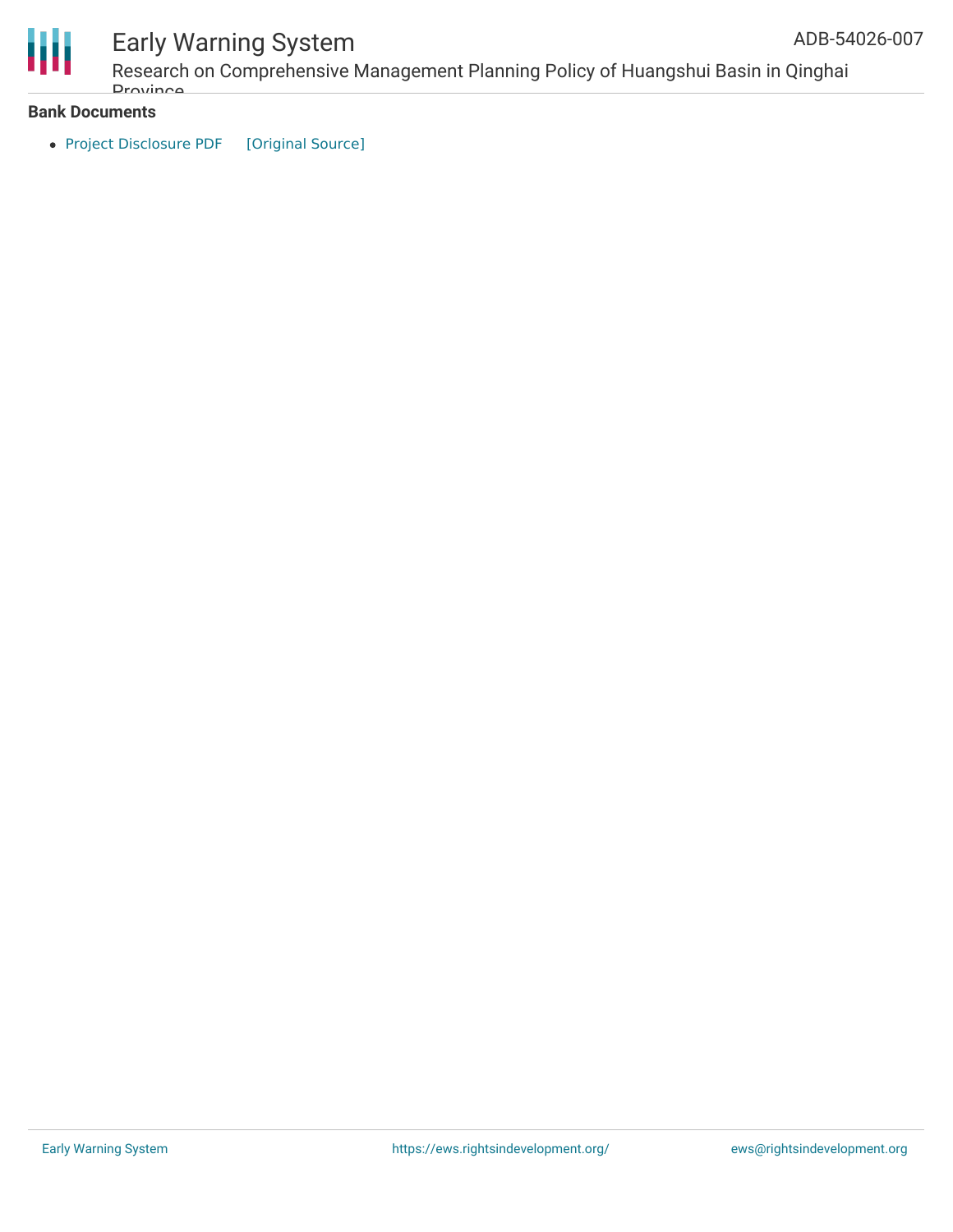

Research on Comprehensive Management Planning Policy of Huangshui Basin in Qinghai **Drovince** 

#### **Bank Documents**

• Project [Disclosure](https://ewsdata.rightsindevelopment.org/files/documents/07/ADB-54026-007.pdf) PDF [\[Original](https://www.adb.org/printpdf/projects/54026-007/main) Source]